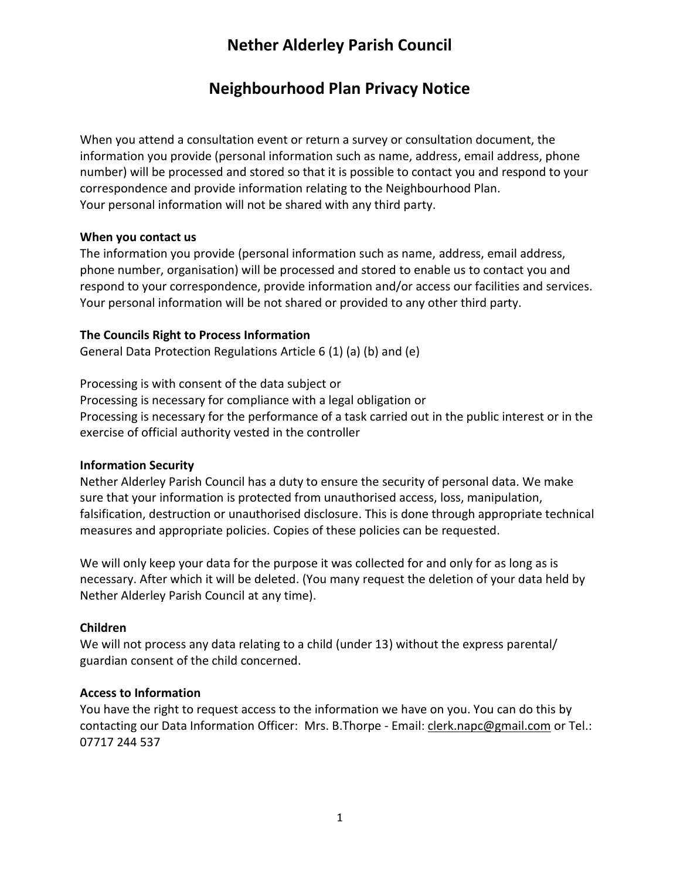# **Nether Alderley Parish Council**

## **Neighbourhood Plan Privacy Notice**

When you attend a consultation event or return a survey or consultation document, the information you provide (personal information such as name, address, email address, phone number) will be processed and stored so that it is possible to contact you and respond to your correspondence and provide information relating to the Neighbourhood Plan. Your personal information will not be shared with any third party.

#### **When you contact us**

The information you provide (personal information such as name, address, email address, phone number, organisation) will be processed and stored to enable us to contact you and respond to your correspondence, provide information and/or access our facilities and services. Your personal information will be not shared or provided to any other third party.

#### **The Councils Right to Process Information**

General Data Protection Regulations Article 6 (1) (a) (b) and (e)

Processing is with consent of the data subject or Processing is necessary for compliance with a legal obligation or Processing is necessary for the performance of a task carried out in the public interest or in the exercise of official authority vested in the controller

#### **Information Security**

Nether Alderley Parish Council has a duty to ensure the security of personal data. We make sure that your information is protected from unauthorised access, loss, manipulation, falsification, destruction or unauthorised disclosure. This is done through appropriate technical measures and appropriate policies. Copies of these policies can be requested.

We will only keep your data for the purpose it was collected for and only for as long as is necessary. After which it will be deleted. (You many request the deletion of your data held by Nether Alderley Parish Council at any time).

#### **Children**

We will not process any data relating to a child (under 13) without the express parental/ guardian consent of the child concerned.

#### **Access to Information**

You have the right to request access to the information we have on you. You can do this by contacting our Data Information Officer: Mrs. B.Thorpe - Email: [clerk.napc@gmail.com](mailto:clerk.napc@gmail.com) or Tel.: 07717 244 537